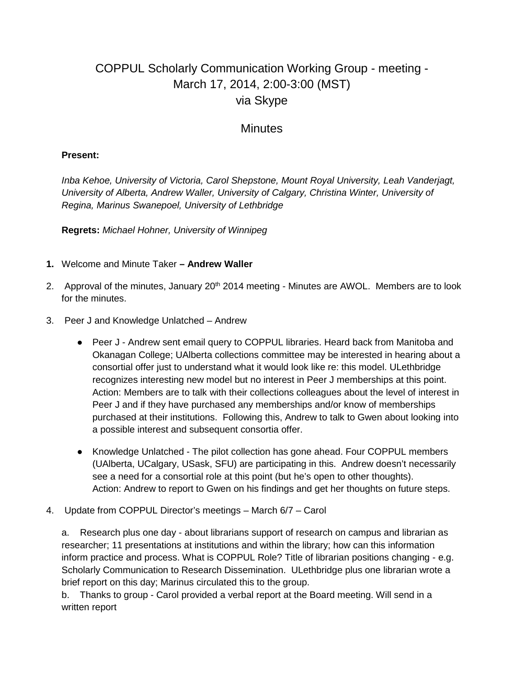## COPPUL Scholarly Communication Working Group - meeting - March 17, 2014, 2:00-3:00 (MST) via Skype

## **Minutes**

## **Present:**

*Inba Kehoe, University of Victoria, Carol Shepstone, Mount Royal University, Leah Vanderjagt, University of Alberta, Andrew Waller, University of Calgary, Christina Winter, University of Regina, Marinus Swanepoel, University of Lethbridge*

**Regrets:** *Michael Hohner, University of Winnipeg*

- **1.** Welcome and Minute Taker **– Andrew Waller**
- 2. Approval of the minutes, January  $20<sup>th</sup> 2014$  meeting Minutes are AWOL. Members are to look for the minutes.
- 3. Peer J and Knowledge Unlatched Andrew
	- Peer J Andrew sent email query to COPPUL libraries. Heard back from Manitoba and Okanagan College; UAlberta collections committee may be interested in hearing about a consortial offer just to understand what it would look like re: this model. ULethbridge recognizes interesting new model but no interest in Peer J memberships at this point. Action: Members are to talk with their collections colleagues about the level of interest in Peer J and if they have purchased any memberships and/or know of memberships purchased at their institutions. Following this, Andrew to talk to Gwen about looking into a possible interest and subsequent consortia offer.
	- Knowledge Unlatched The pilot collection has gone ahead. Four COPPUL members (UAlberta, UCalgary, USask, SFU) are participating in this. Andrew doesn't necessarily see a need for a consortial role at this point (but he's open to other thoughts). Action: Andrew to report to Gwen on his findings and get her thoughts on future steps.
- 4. Update from COPPUL Director's meetings March 6/7 Carol

a. Research plus one day - about librarians support of research on campus and librarian as researcher; 11 presentations at institutions and within the library; how can this information inform practice and process. What is COPPUL Role? Title of librarian positions changing - e.g. Scholarly Communication to Research Dissemination. ULethbridge plus one librarian wrote a brief report on this day; Marinus circulated this to the group.

b. Thanks to group - Carol provided a verbal report at the Board meeting. Will send in a written report